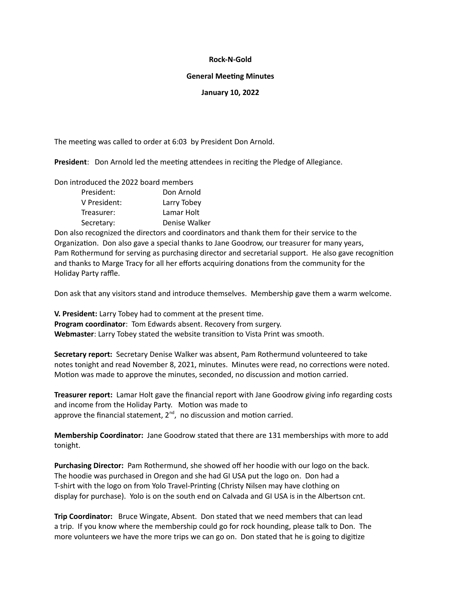## **Rock-N-Gold**

#### **General Meeting Minutes**

## **January 10, 2022**

The meeting was called to order at 6:03 by President Don Arnold.

**President**: Don Arnold led the meeting attendees in reciting the Pledge of Allegiance.

Don introduced the 2022 board members

| President:   | Don Arnold    |
|--------------|---------------|
| V President: | Larry Tobey   |
| Treasurer:   | Lamar Holt    |
| Secretary:   | Denise Walker |

Don also recognized the directors and coordinators and thank them for their service to the Organization. Don also gave a special thanks to Jane Goodrow, our treasurer for many years, Pam Rothermund for serving as purchasing director and secretarial support. He also gave recognition and thanks to Marge Tracy for all her efforts acquiring donations from the community for the Holiday Party raffle.

Don ask that any visitors stand and introduce themselves. Membership gave them a warm welcome.

**V. President:** Larry Tobey had to comment at the present time. **Program coordinator**: Tom Edwards absent. Recovery from surgery. **Webmaster**: Larry Tobey stated the website transition to Vista Print was smooth.

**Secretary report:** Secretary Denise Walker was absent, Pam Rothermund volunteered to take notes tonight and read November 8, 2021, minutes. Minutes were read, no corrections were noted. Motion was made to approve the minutes, seconded, no discussion and motion carried.

**Treasurer report:** Lamar Holt gave the financial report with Jane Goodrow giving info regarding costs and income from the Holiday Party. Motion was made to approve the financial statement,  $2^{nd}$ , no discussion and motion carried.

**Membership Coordinator:** Jane Goodrow stated that there are 131 memberships with more to add tonight.

**Purchasing Director:** Pam Rothermund, she showed off her hoodie with our logo on the back. The hoodie was purchased in Oregon and she had GI USA put the logo on. Don had a T-shirt with the logo on from Yolo Travel-Printing (Christy Nilsen may have clothing on display for purchase). Yolo is on the south end on Calvada and GI USA is in the Albertson cnt.

**Trip Coordinator:** Bruce Wingate, Absent. Don stated that we need members that can lead a trip. If you know where the membership could go for rock hounding, please talk to Don. The more volunteers we have the more trips we can go on. Don stated that he is going to digitize